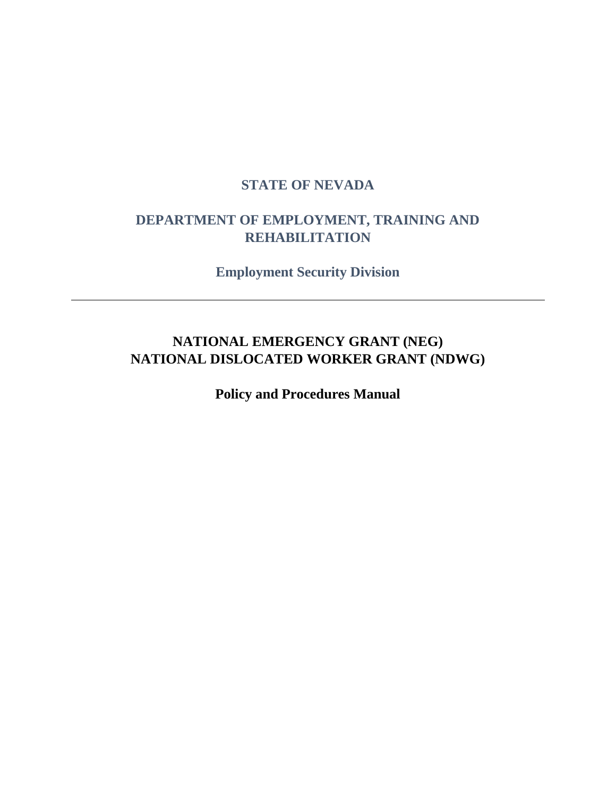# **STATE OF NEVADA**

# **DEPARTMENT OF EMPLOYMENT, TRAINING AND REHABILITATION**

**Employment Security Division**

# **NATIONAL EMERGENCY GRANT (NEG) NATIONAL DISLOCATED WORKER GRANT (NDWG)**

**Policy and Procedures Manual**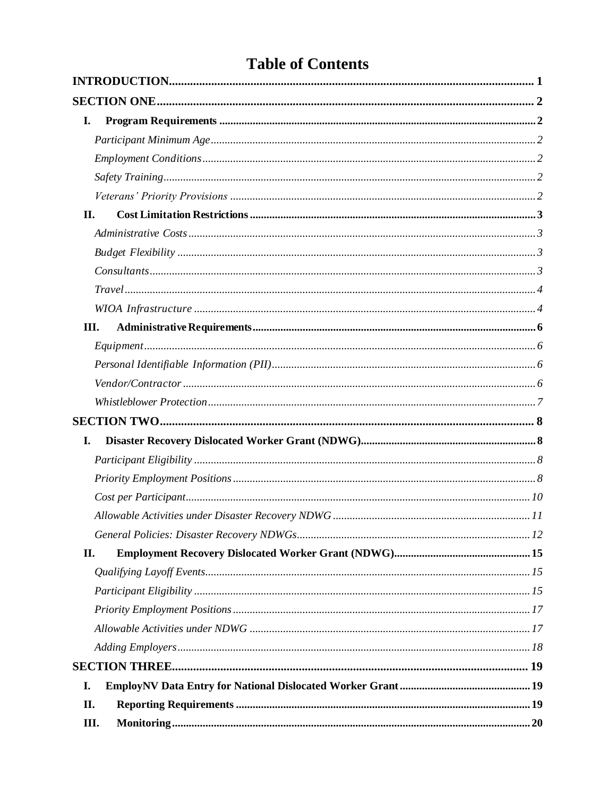# **Table of Contents**

| I.   |      |  |
|------|------|--|
|      |      |  |
|      |      |  |
|      |      |  |
|      |      |  |
| II.  |      |  |
|      |      |  |
|      |      |  |
|      |      |  |
|      |      |  |
|      |      |  |
|      | III. |  |
|      |      |  |
|      |      |  |
|      |      |  |
|      |      |  |
|      |      |  |
| I.   |      |  |
|      |      |  |
|      |      |  |
|      |      |  |
|      |      |  |
|      |      |  |
| II.  |      |  |
|      |      |  |
|      |      |  |
|      |      |  |
|      |      |  |
|      |      |  |
|      |      |  |
| I.   |      |  |
| II.  |      |  |
| III. |      |  |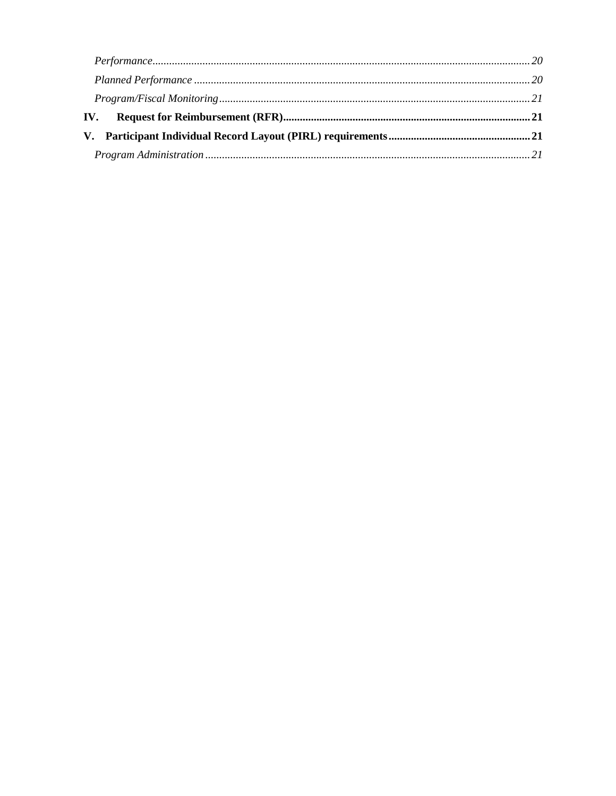| Performance 20           |  |
|--------------------------|--|
|                          |  |
|                          |  |
| $\mathbf{IV}_{\text{-}}$ |  |
|                          |  |
|                          |  |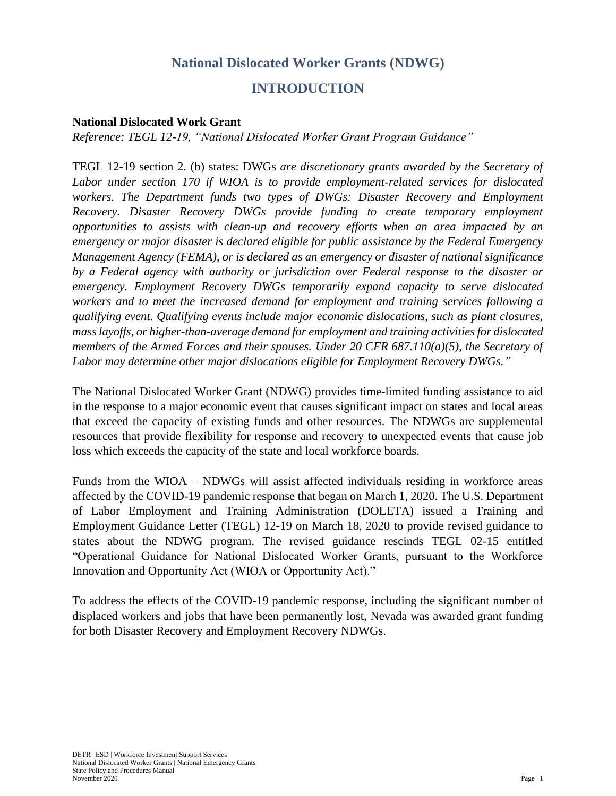# **National Dislocated Worker Grants (NDWG)**

### **INTRODUCTION**

#### <span id="page-3-0"></span>**National Dislocated Work Grant**

*Reference: TEGL 12-19, "National Dislocated Worker Grant Program Guidance"*

TEGL 12-19 section 2. (b) states: DWGs *are discretionary grants awarded by the Secretary of Labor under section 170 if WIOA is to provide employment-related services for dislocated workers. The Department funds two types of DWGs: Disaster Recovery and Employment Recovery. Disaster Recovery DWGs provide funding to create temporary employment opportunities to assists with clean-up and recovery efforts when an area impacted by an emergency or major disaster is declared eligible for public assistance by the Federal Emergency Management Agency (FEMA), or is declared as an emergency or disaster of national significance by a Federal agency with authority or jurisdiction over Federal response to the disaster or emergency. Employment Recovery DWGs temporarily expand capacity to serve dislocated workers and to meet the increased demand for employment and training services following a qualifying event. Qualifying events include major economic dislocations, such as plant closures, mass layoffs, or higher-than-average demand for employment and training activities for dislocated members of the Armed Forces and their spouses. Under 20 CFR 687.110(a)(5), the Secretary of Labor may determine other major dislocations eligible for Employment Recovery DWGs."*

The National Dislocated Worker Grant (NDWG) provides time-limited funding assistance to aid in the response to a major economic event that causes significant impact on states and local areas that exceed the capacity of existing funds and other resources. The NDWGs are supplemental resources that provide flexibility for response and recovery to unexpected events that cause job loss which exceeds the capacity of the state and local workforce boards.

Funds from the WIOA – NDWGs will assist affected individuals residing in workforce areas affected by the COVID-19 pandemic response that began on March 1, 2020. The U.S. Department of Labor Employment and Training Administration (DOLETA) issued a Training and Employment Guidance Letter (TEGL) 12-19 on March 18, 2020 to provide revised guidance to states about the NDWG program. The revised guidance rescinds TEGL 02-15 entitled "Operational Guidance for National Dislocated Worker Grants, pursuant to the Workforce Innovation and Opportunity Act (WIOA or Opportunity Act)."

To address the effects of the COVID-19 pandemic response, including the significant number of displaced workers and jobs that have been permanently lost, Nevada was awarded grant funding for both Disaster Recovery and Employment Recovery NDWGs.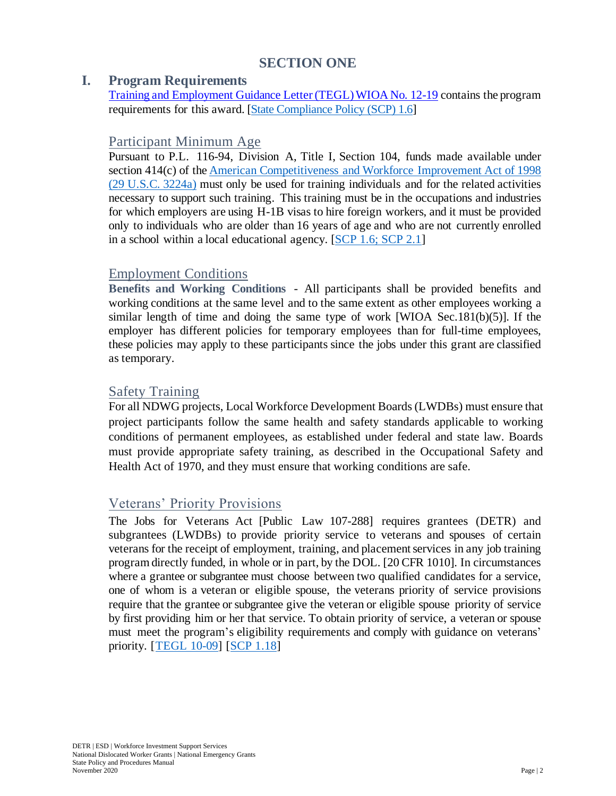# **SECTION ONE**

#### <span id="page-4-1"></span><span id="page-4-0"></span>**I. Program Requirements**

Training and Employment Guidance Letter (TEGL) WIOA No. 12-19 contains the program requirements for this award. [\[State Compliance Policy \(SCP\) 1.6\]](https://owinn.nv.gov/GWDB/Policies/WIOA-StateCompliancePolices/)

#### <span id="page-4-2"></span>Participant Minimum Age

Pursuant to P.L. 116-94, Division A, Title I, Section 104, funds made available under section 414(c) of the American [Competitiveness](https://www.govinfo.gov/content/pkg/PLAW-106publ313/pdf/PLAW-106publ313.pdf) and Workforce Improvement Act of 1998 [\(29 U.S.C.](https://www.govinfo.gov/content/pkg/PLAW-106publ313/pdf/PLAW-106publ313.pdf) 3224a) must only be used for training individuals and for the related activities necessary to support such training. This training must be in the occupations and industries for which employers are using H-1B visas to hire foreign workers, and it must be provided only to individuals who are older than 16 years of age and who are not currently enrolled in a school within a local educational agency. [\[SCP 1.6; SCP 2.1\]](https://owinn.nv.gov/GWDB/Policies/WIOA-StateCompliancePolices/)

### <span id="page-4-3"></span>Employment Conditions

**Benefits and Working Conditions** - All participants shall be provided benefits and working conditions at the same level and to the same extent as other employees working a similar length of time and doing the same type of work [WIOA Sec.181(b)(5)]. If the employer has different policies for temporary employees than for full-time employees, these policies may apply to these participants since the jobs under this grant are classified as temporary.

# <span id="page-4-4"></span>Safety Training

For all NDWG projects, Local Workforce Development Boards (LWDBs) must ensure that project participants follow the same health and safety standards applicable to working conditions of permanent employees, as established under federal and state law. Boards must provide appropriate safety training, as described in the Occupational Safety and Health Act of 1970, and they must ensure that working conditions are safe.

### <span id="page-4-5"></span>Veterans' Priority Provisions

The Jobs for Veterans Act [Public Law 107-288] requires grantees (DETR) and subgrantees (LWDBs) to provide priority service to veterans and spouses of certain veterans for the receipt of employment, training, and placementservices in any job training program directly funded, in whole or in part, by the DOL. [20 CFR 1010]. In circumstances where a grantee or subgrantee must choose between two qualified candidates for a service, one of whom is a veteran or eligible spouse, the veterans priority of service provisions require that the grantee or subgrantee give the veteran or eligible spouse priority of service by first providing him or her that service. To obtain priority of service, a veteran or spouse must meet the program's eligibility requirements and comply with guidance on veterans' priority. [\[TEGL](https://wdr.doleta.gov/directives/corr_doc.cfm?DOCN=2816) 10-09] [\[SCP 1.18\]](https://owinn.nv.gov/GWDB/Policies/WIOA-StateCompliancePolices/)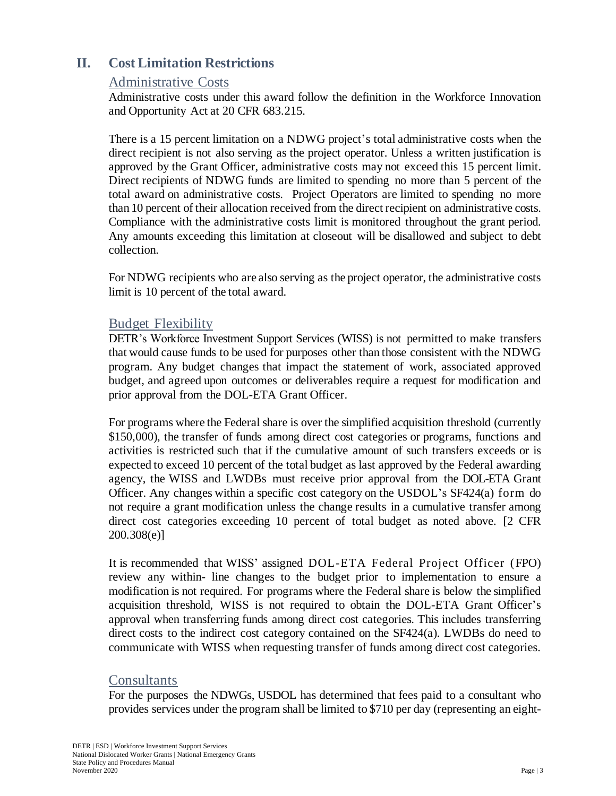# <span id="page-5-1"></span><span id="page-5-0"></span>**II. Cost Limitation Restrictions**

#### Administrative Costs

Administrative costs under this award follow the definition in the Workforce Innovation and Opportunity Act at 20 CFR 683.215.

There is a 15 percent limitation on a NDWG project's total administrative costs when the direct recipient is not also serving as the project operator. Unless a written justification is approved by the Grant Officer, administrative costs may not exceed this 15 percent limit. Direct recipients of NDWG funds are limited to spending no more than 5 percent of the total award on administrative costs. Project Operators are limited to spending no more than 10 percent of their allocation received from the direct recipient on administrative costs. Compliance with the administrative costs limit is monitored throughout the grant period. Any amounts exceeding this limitation at closeout will be disallowed and subject to debt collection.

For NDWG recipients who are also serving as the project operator, the administrative costs limit is 10 percent of the total award.

### <span id="page-5-2"></span>Budget Flexibility

DETR's Workforce Investment Support Services (WISS) is not permitted to make transfers that would cause funds to be used for purposes other than those consistent with the NDWG program. Any budget changes that impact the statement of work, associated approved budget, and agreed upon outcomes or deliverables require a request for modification and prior approval from the DOL-ETA Grant Officer.

For programs where the Federal share is over the simplified acquisition threshold (currently \$150,000), the transfer of funds among direct cost categories or programs, functions and activities is restricted such that if the cumulative amount of such transfers exceeds or is expected to exceed 10 percent of the total budget as last approved by the Federal awarding agency, the WISS and LWDBs must receive prior approval from the DOL-ETA Grant Officer. Any changes within a specific cost category on the USDOL's SF424(a) form do not require a grant modification unless the change results in a cumulative transfer among direct cost categories exceeding 10 percent of total budget as noted above. [2 CFR 200.308(e)]

It is recommended that WISS' assigned DOL-ETA Federal Project Officer (FPO) review any within- line changes to the budget prior to implementation to ensure a modification is not required. For programs where the Federal share is below the simplified acquisition threshold, WISS is not required to obtain the DOL-ETA Grant Officer's approval when transferring funds among direct cost categories. This includes transferring direct costs to the indirect cost category contained on the SF424(a). LWDBs do need to communicate with WISS when requesting transfer of funds among direct cost categories.

### <span id="page-5-3"></span>**Consultants**

For the purposes the NDWGs, USDOL has determined that fees paid to a consultant who provides services under the program shall be limited to \$710 per day (representing an eight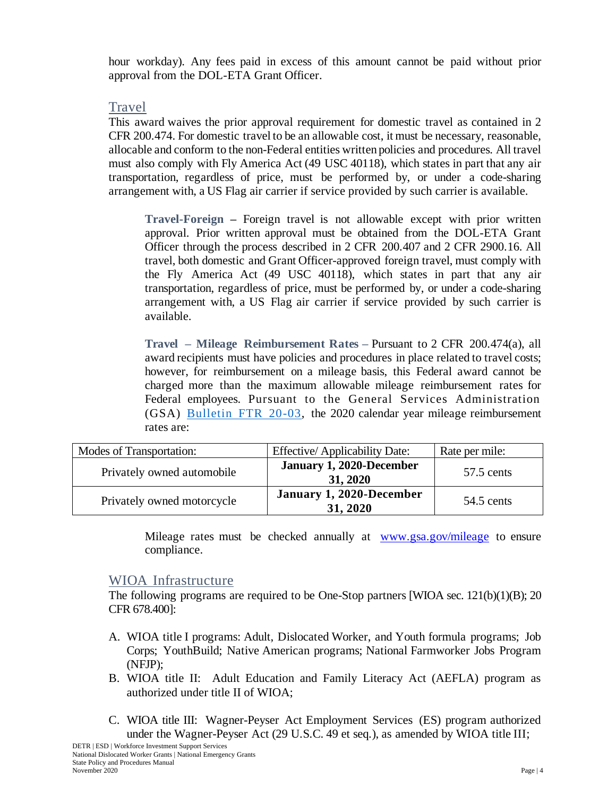hour workday). Any fees paid in excess of this amount cannot be paid without prior approval from the DOL-ETA Grant Officer.

#### <span id="page-6-0"></span>Travel

This award waives the prior approval requirement for domestic travel as contained in 2 CFR 200.474. For domestic travel to be an allowable cost, it must be necessary, reasonable, allocable and conform to the non-Federal entities written policies and procedures. All travel must also comply with Fly America Act (49 USC 40118), which states in part that any air transportation, regardless of price, must be performed by, or under a code-sharing arrangement with, a US Flag air carrier if service provided by such carrier is available.

**Travel-Foreign –** Foreign travel is not allowable except with prior written approval. Prior written approval must be obtained from the DOL-ETA Grant Officer through the process described in 2 CFR 200.407 and 2 CFR 2900.16. All travel, both domestic and Grant Officer-approved foreign travel, must comply with the Fly America Act (49 USC 40118), which states in part that any air transportation, regardless of price, must be performed by, or under a code-sharing arrangement with, a US Flag air carrier if service provided by such carrier is available.

**Travel – Mileage Reimbursement Rates –** Pursuant to 2 CFR 200.474(a), all award recipients must have policies and procedures in place related to travel costs; however, for reimbursement on a mileage basis, this Federal award cannot be charged more than the maximum allowable mileage reimbursement rates for Federal employees. Pursuant to the General Services Administration (GSA) [Bulletin FTR 20-03,](https://www.gsa.gov/cdnstatic/OGP%20Signed%20CY_2020_POV_Mileage_Rate_Bulletin_-_12-9-2019.pdf) the 2020 calendar year mileage reimbursement rates are:

| Modes of Transportation:   | <b>Effective/Applicability Date:</b> | Rate per mile: |
|----------------------------|--------------------------------------|----------------|
| Privately owned automobile | January 1, 2020-December<br>31, 2020 | 57.5 cents     |
| Privately owned motorcycle | January 1, 2020-December<br>31, 2020 | 54.5 cents     |

Mileage rates must be checked annually at [www.gsa.gov/mileage](http://www.gsa.gov/mileage) to ensure compliance.

### <span id="page-6-1"></span>WIOA Infrastructure

The following programs are required to be One-Stop partners [WIOA sec. 121(b)(1)(B); 20 CFR 678.400]:

- A. WIOA title I programs: Adult, Dislocated Worker, and Youth formula programs; Job Corps; YouthBuild; Native American programs; National Farmworker Jobs Program (NFJP);
- B. WIOA title II: Adult Education and Family Literacy Act (AEFLA) program as authorized under title II of WIOA;
- C. WIOA title III: Wagner-Peyser Act Employment Services (ES) program authorized under the Wagner-Peyser Act (29 U.S.C. 49 et seq.), as amended by WIOA title III;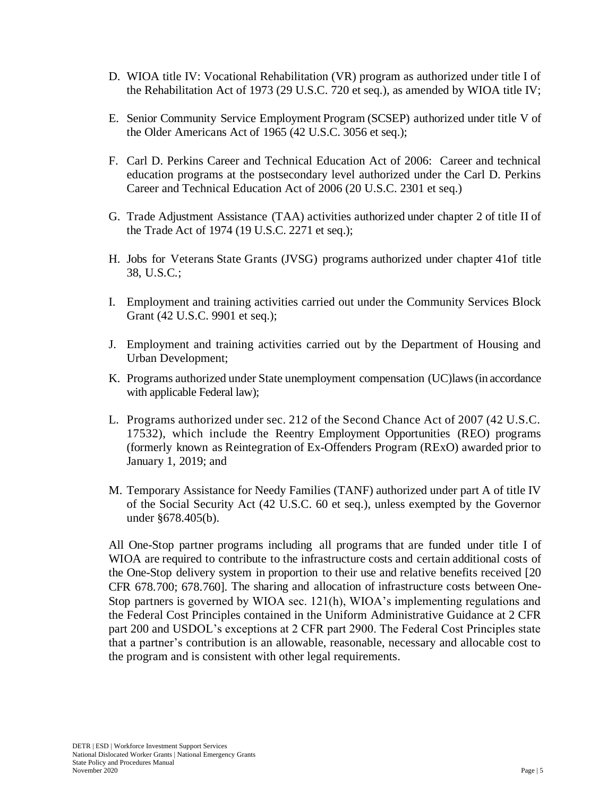- D. WIOA title IV: Vocational Rehabilitation (VR) program as authorized under title I of the Rehabilitation Act of 1973 (29 U.S.C. 720 et seq.), as amended by WIOA title IV;
- E. Senior Community Service Employment Program (SCSEP) authorized under title V of the Older Americans Act of 1965 (42 U.S.C. 3056 et seq.);
- F. Carl D. Perkins Career and Technical Education Act of 2006: Career and technical education programs at the postsecondary level authorized under the Carl D. Perkins Career and Technical Education Act of 2006 (20 U.S.C. 2301 et seq.)
- G. Trade Adjustment Assistance (TAA) activities authorized under chapter 2 of title II of the Trade Act of 1974 (19 U.S.C. 2271 et seq.);
- H. Jobs for Veterans State Grants (JVSG) programs authorized under chapter 41of title 38, U.S.C.;
- I. Employment and training activities carried out under the Community Services Block Grant (42 U.S.C. 9901 et seq.);
- J. Employment and training activities carried out by the Department of Housing and Urban Development;
- K. Programs authorized under State unemployment compensation (UC)laws (in accordance with applicable Federal law);
- L. Programs authorized under sec. 212 of the Second Chance Act of 2007 (42 U.S.C. 17532), which include the Reentry Employment Opportunities (REO) programs (formerly known as Reintegration of Ex-Offenders Program (RExO) awarded prior to January 1, 2019; and
- M. Temporary Assistance for Needy Families (TANF) authorized under part A of title IV of the Social Security Act (42 U.S.C. 60 et seq.), unless exempted by the Governor under §678.405(b).

All One-Stop partner programs including all programs that are funded under title I of WIOA are required to contribute to the infrastructure costs and certain additional costs of the One-Stop delivery system in proportion to their use and relative benefits received [20 CFR 678.700; 678.760]. The sharing and allocation of infrastructure costs between One-Stop partners is governed by WIOA sec. 121(h), WIOA's implementing regulations and the Federal Cost Principles contained in the Uniform Administrative Guidance at 2 CFR part 200 and USDOL's exceptions at 2 CFR part 2900. The Federal Cost Principles state that a partner's contribution is an allowable, reasonable, necessary and allocable cost to the program and is consistent with other legal requirements.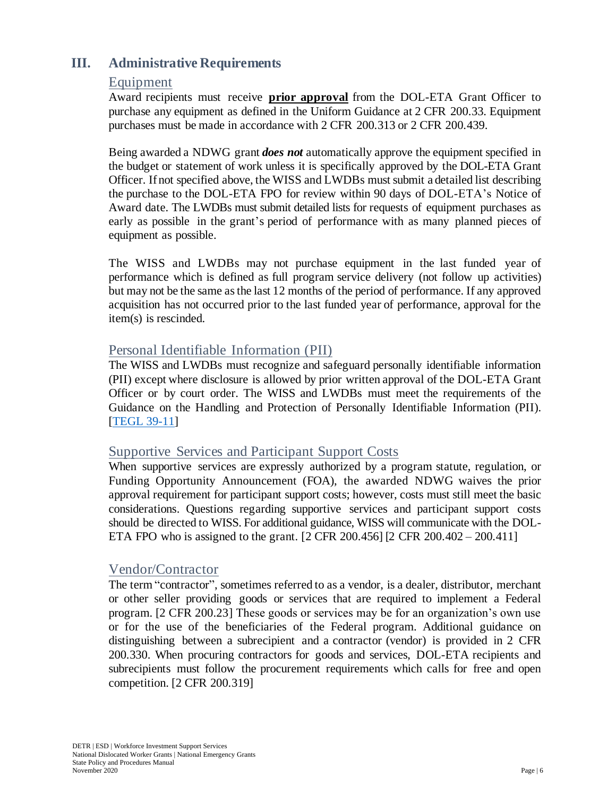# <span id="page-8-1"></span><span id="page-8-0"></span>**III. Administrative Requirements**

#### Equipment

Award recipients must receive **prior approval** from the DOL-ETA Grant Officer to purchase any equipment as defined in the Uniform Guidance at 2 CFR 200.33. Equipment purchases must be made in accordance with 2 CFR 200.313 or 2 CFR 200.439.

Being awarded a NDWG grant *does not* automatically approve the equipment specified in the budget or statement of work unless it is specifically approved by the DOL-ETA Grant Officer. If not specified above, the WISS and LWDBs must submit a detailed list describing the purchase to the DOL-ETA FPO for review within 90 days of DOL-ETA's Notice of Award date. The LWDBs must submit detailed lists for requests of equipment purchases as early as possible in the grant's period of performance with as many planned pieces of equipment as possible.

The WISS and LWDBs may not purchase equipment in the last funded year of performance which is defined as full program service delivery (not follow up activities) but may not be the same asthe last 12 months of the period of performance. If any approved acquisition has not occurred prior to the last funded year of performance, approval for the item(s) is rescinded.

#### <span id="page-8-2"></span>Personal Identifiable Information (PII)

The WISS and LWDBs must recognize and safeguard personally identifiable information (PII) except where disclosure is allowed by prior written approval of the DOL-ETA Grant Officer or by court order. The WISS and LWDBs must meet the requirements of the Guidance on the Handling and Protection of Personally Identifiable Information (PII). [\[TEGL 39-11\]](https://wdr.doleta.gov/directives/corr_doc.cfm?docn=7872)

#### Supportive Services and Participant Support Costs

When supportive services are expressly authorized by a program statute, regulation, or Funding Opportunity Announcement (FOA), the awarded NDWG waives the prior approval requirement for participant support costs; however, costs must still meet the basic considerations. Questions regarding supportive services and participant support costs should be directed to WISS. For additional guidance, WISS will communicate with the DOL-ETA FPO who is assigned to the grant. [2 CFR 200.456] [2 CFR 200.402 – 200.411]

#### <span id="page-8-3"></span>Vendor/Contractor

The term "contractor", sometimes referred to as a vendor, is a dealer, distributor, merchant or other seller providing goods or services that are required to implement a Federal program. [2 CFR 200.23] These goods or services may be for an organization's own use or for the use of the beneficiaries of the Federal program. Additional guidance on distinguishing between a subrecipient and a contractor (vendor) is provided in 2 CFR 200.330. When procuring contractors for goods and services, DOL-ETA recipients and subrecipients must follow the procurement requirements which calls for free and open competition. [2 CFR 200.319]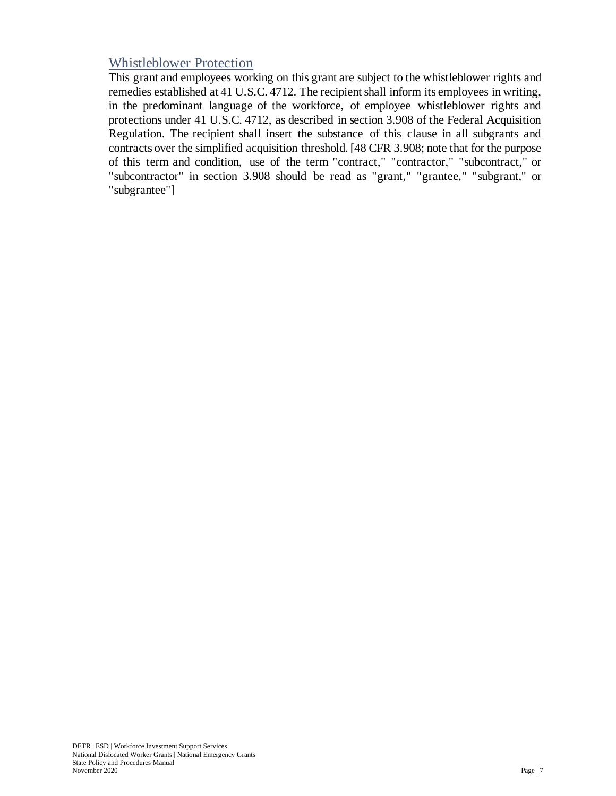# <span id="page-9-0"></span>Whistleblower Protection

This grant and employees working on this grant are subject to the whistleblower rights and remedies established at 41 U.S.C. 4712. The recipient shall inform its employees in writing, in the predominant language of the workforce, of employee whistleblower rights and protections under 41 U.S.C. 4712, as described in section 3.908 of the Federal Acquisition Regulation. The recipient shall insert the substance of this clause in all subgrants and contracts over the simplified acquisition threshold. [48 CFR 3.908; note that for the purpose of this term and condition, use of the term "contract," "contractor," "subcontract," or "subcontractor" in section 3.908 should be read as "grant," "grantee," "subgrant," or "subgrantee"]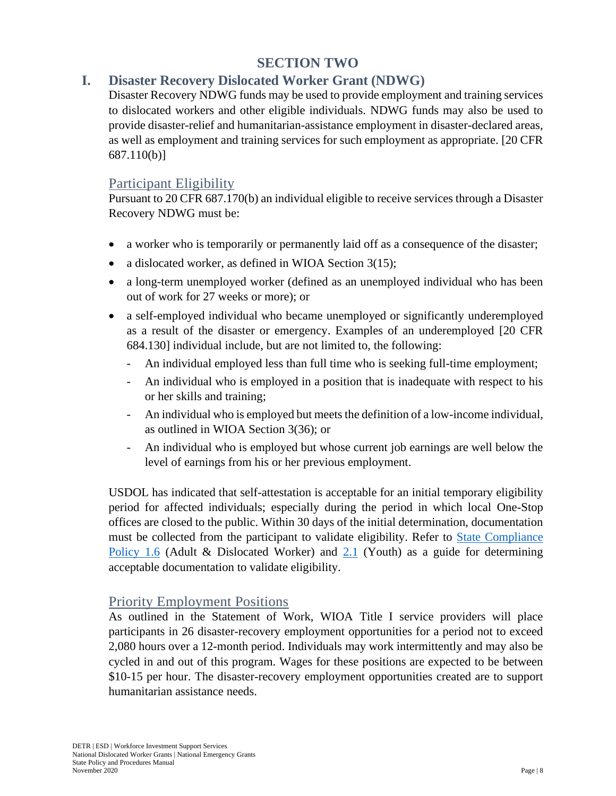# **SECTION TWO**

# <span id="page-10-1"></span><span id="page-10-0"></span>**I. Disaster Recovery Dislocated Worker Grant (NDWG)**

Disaster Recovery NDWG funds may be used to provide employment and training services to dislocated workers and other eligible individuals. NDWG funds may also be used to provide disaster-relief and humanitarian-assistance employment in disaster-declared areas, as well as employment and training services for such employment as appropriate. [20 CFR 687.110(b)]

#### <span id="page-10-2"></span>Participant Eligibility

Pursuant to 20 CFR 687.170(b) an individual eligible to receive services through a Disaster Recovery NDWG must be:

- a worker who is temporarily or permanently laid off as a consequence of the disaster;
- a dislocated worker, as defined in WIOA Section 3(15);
- a long-term unemployed worker (defined as an unemployed individual who has been out of work for 27 weeks or more); or
- a self-employed individual who became unemployed or significantly underemployed as a result of the disaster or emergency. Examples of an underemployed [20 CFR 684.130] individual include, but are not limited to, the following:
	- An individual employed less than full time who is seeking full-time employment;
	- An individual who is employed in a position that is inadequate with respect to his or her skills and training;
	- An individual who is employed but meets the definition of a low-income individual, as outlined in WIOA Section 3(36); or
	- An individual who is employed but whose current job earnings are well below the level of earnings from his or her previous employment.

USDOL has indicated that self-attestation is acceptable for an initial temporary eligibility period for affected individuals; especially during the period in which local One-Stop offices are closed to the public. Within 30 days of the initial determination, documentation must be collected from the participant to validate eligibility. Refer to [State Compliance](https://owinn.nv.gov/GWDB/Policies/WIOA-StateCompliancePolices/)  [Policy 1.6](https://owinn.nv.gov/GWDB/Policies/WIOA-StateCompliancePolices/) (Adult & Dislocated Worker) and [2.1](https://owinn.nv.gov/GWDB/Policies/WIOA-StateCompliancePolices/) (Youth) as a guide for determining acceptable documentation to validate eligibility.

### <span id="page-10-3"></span>Priority Employment Positions

As outlined in the Statement of Work, WIOA Title I service providers will place participants in 26 disaster-recovery employment opportunities for a period not to exceed 2,080 hours over a 12-month period. Individuals may work intermittently and may also be cycled in and out of this program. Wages for these positions are expected to be between \$10-15 per hour. The disaster-recovery employment opportunities created are to support humanitarian assistance needs.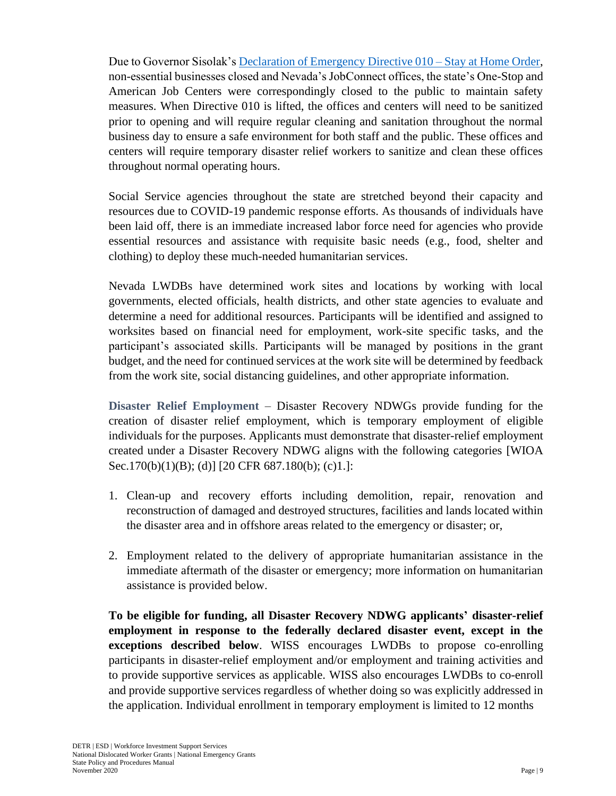Due to Governor Sisolak's [Declaration of Emergency Directive 010 –](https://gov.nv.gov/News/Emergency_Orders/2020/2020-03-31_-_COVID-19_Declaration_of_Emergency_Directive_010_-_Stay_at_Home_Order_(Attachments)/) Stay at Home Order, non-essential businesses closed and Nevada's JobConnect offices, the state's One-Stop and American Job Centers were correspondingly closed to the public to maintain safety measures. When Directive 010 is lifted, the offices and centers will need to be sanitized prior to opening and will require regular cleaning and sanitation throughout the normal business day to ensure a safe environment for both staff and the public. These offices and centers will require temporary disaster relief workers to sanitize and clean these offices throughout normal operating hours.

Social Service agencies throughout the state are stretched beyond their capacity and resources due to COVID-19 pandemic response efforts. As thousands of individuals have been laid off, there is an immediate increased labor force need for agencies who provide essential resources and assistance with requisite basic needs (e.g., food, shelter and clothing) to deploy these much-needed humanitarian services.

Nevada LWDBs have determined work sites and locations by working with local governments, elected officials, health districts, and other state agencies to evaluate and determine a need for additional resources. Participants will be identified and assigned to worksites based on financial need for employment, work-site specific tasks, and the participant's associated skills. Participants will be managed by positions in the grant budget, and the need for continued services at the work site will be determined by feedback from the work site, social distancing guidelines, and other appropriate information.

**Disaster Relief Employment** – Disaster Recovery NDWGs provide funding for the creation of disaster relief employment, which is temporary employment of eligible individuals for the purposes. Applicants must demonstrate that disaster-relief employment created under a Disaster Recovery NDWG aligns with the following categories [WIOA Sec.170(b)(1)(B); (d)] [20 CFR 687.180(b); (c)1.]:

- 1. Clean-up and recovery efforts including demolition, repair, renovation and reconstruction of damaged and destroyed structures, facilities and lands located within the disaster area and in offshore areas related to the emergency or disaster; or,
- 2. Employment related to the delivery of appropriate humanitarian assistance in the immediate aftermath of the disaster or emergency; more information on humanitarian assistance is provided below.

**To be eligible for funding, all Disaster Recovery NDWG applicants' disaster-relief employment in response to the federally declared disaster event, except in the exceptions described below**. WISS encourages LWDBs to propose co-enrolling participants in disaster-relief employment and/or employment and training activities and to provide supportive services as applicable. WISS also encourages LWDBs to co-enroll and provide supportive services regardless of whether doing so was explicitly addressed in the application. Individual enrollment in temporary employment is limited to 12 months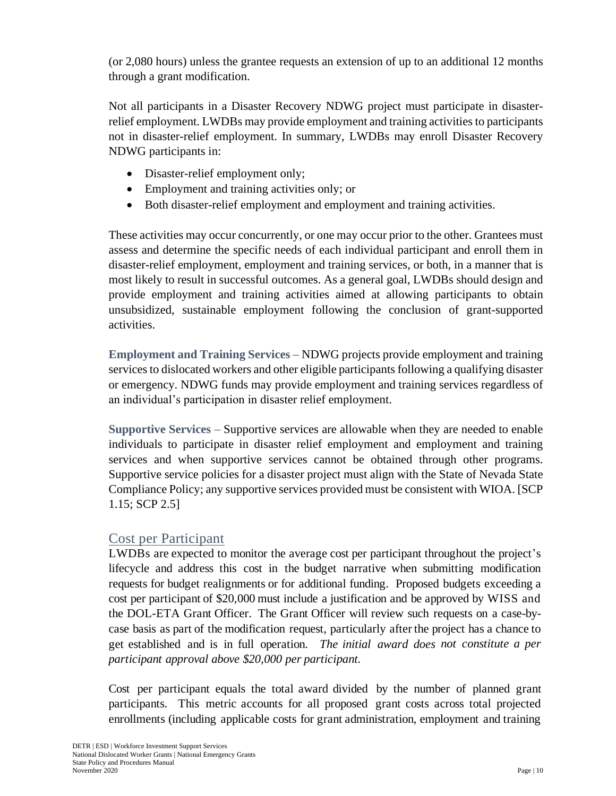(or 2,080 hours) unless the grantee requests an extension of up to an additional 12 months through a grant modification.

Not all participants in a Disaster Recovery NDWG project must participate in disasterrelief employment. LWDBs may provide employment and training activities to participants not in disaster-relief employment. In summary, LWDBs may enroll Disaster Recovery NDWG participants in:

- Disaster-relief employment only;
- Employment and training activities only; or
- Both disaster-relief employment and employment and training activities.

These activities may occur concurrently, or one may occur prior to the other. Grantees must assess and determine the specific needs of each individual participant and enroll them in disaster-relief employment, employment and training services, or both, in a manner that is most likely to result in successful outcomes. As a general goal, LWDBs should design and provide employment and training activities aimed at allowing participants to obtain unsubsidized, sustainable employment following the conclusion of grant-supported activities.

**Employment and Training Services** – NDWG projects provide employment and training services to dislocated workers and other eligible participants following a qualifying disaster or emergency. NDWG funds may provide employment and training services regardless of an individual's participation in disaster relief employment.

**Supportive Services** – Supportive services are allowable when they are needed to enable individuals to participate in disaster relief employment and employment and training services and when supportive services cannot be obtained through other programs. Supportive service policies for a disaster project must align with the State of Nevada State Compliance Policy; any supportive services provided must be consistent with WIOA. [SCP 1.15; SCP 2.5]

# <span id="page-12-0"></span>Cost per Participant

LWDBs are expected to monitor the average cost per participant throughout the project's lifecycle and address this cost in the budget narrative when submitting modification requests for budget realignments or for additional funding. Proposed budgets exceeding a cost per participant of \$20,000 must include a justification and be approved by WISS and the DOL-ETA Grant Officer. The Grant Officer will review such requests on a case-bycase basis as part of the modification request, particularly after the project has a chance to get established and is in full operation. *The initial award does not constitute a per participant approval above \$20,000 per participant.*

Cost per participant equals the total award divided by the number of planned grant participants. This metric accounts for all proposed grant costs across total projected enrollments (including applicable costs for grant administration, employment and training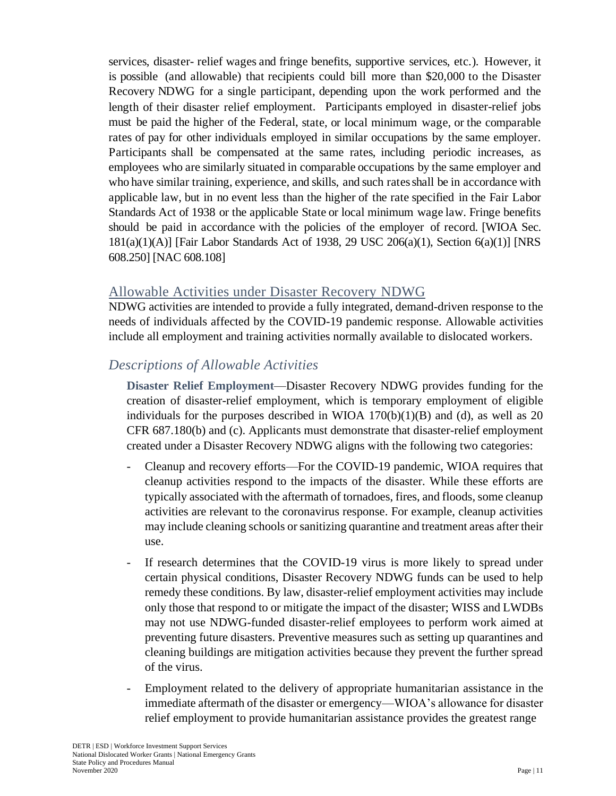services, disaster- relief wages and fringe benefits, supportive services, etc.). However, it is possible (and allowable) that recipients could bill more than \$20,000 to the Disaster Recovery NDWG for a single participant, depending upon the work performed and the length of their disaster relief employment. Participants employed in disaster-relief jobs must be paid the higher of the Federal, state, or local minimum wage, or the comparable rates of pay for other individuals employed in similar occupations by the same employer. Participants shall be compensated at the same rates, including periodic increases, as employees who are similarly situated in comparable occupations by the same employer and who have similar training, experience, and skills, and such ratesshall be in accordance with applicable law, but in no event less than the higher of the rate specified in the Fair Labor Standards Act of 1938 or the applicable State or local minimum wage law. Fringe benefits should be paid in accordance with the policies of the employer of record. [WIOA Sec. 181(a)(1)(A)] [Fair Labor Standards Act of 1938, 29 USC 206(a)(1), Section 6(a)(1)] [NRS 608.250] [NAC 608.108]

#### <span id="page-13-0"></span>Allowable Activities under Disaster Recovery NDWG

NDWG activities are intended to provide a fully integrated, demand-driven response to the needs of individuals affected by the COVID-19 pandemic response. Allowable activities include all employment and training activities normally available to dislocated workers.

# *Descriptions of Allowable Activities*

**Disaster Relief Employment**—Disaster Recovery NDWG provides funding for the creation of disaster-relief employment, which is temporary employment of eligible individuals for the purposes described in WIOA  $170(b)(1)(B)$  and (d), as well as 20 CFR 687.180(b) and (c). Applicants must demonstrate that disaster-relief employment created under a Disaster Recovery NDWG aligns with the following two categories:

- Cleanup and recovery efforts—For the COVID-19 pandemic, WIOA requires that cleanup activities respond to the impacts of the disaster. While these efforts are typically associated with the aftermath of tornadoes, fires, and floods, some cleanup activities are relevant to the coronavirus response. For example, cleanup activities may include cleaning schools or sanitizing quarantine and treatment areas after their use.
- If research determines that the COVID-19 virus is more likely to spread under certain physical conditions, Disaster Recovery NDWG funds can be used to help remedy these conditions. By law, disaster-relief employment activities may include only those that respond to or mitigate the impact of the disaster; WISS and LWDBs may not use NDWG-funded disaster-relief employees to perform work aimed at preventing future disasters. Preventive measures such as setting up quarantines and cleaning buildings are mitigation activities because they prevent the further spread of the virus.
- Employment related to the delivery of appropriate humanitarian assistance in the immediate aftermath of the disaster or emergency—WIOA's allowance for disaster relief employment to provide humanitarian assistance provides the greatest range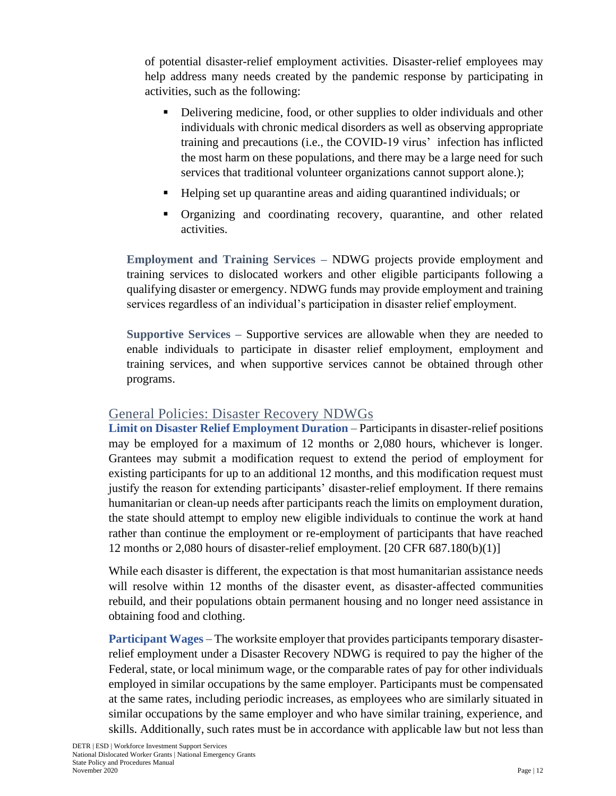of potential disaster-relief employment activities. Disaster-relief employees may help address many needs created by the pandemic response by participating in activities, such as the following:

- Delivering medicine, food, or other supplies to older individuals and other individuals with chronic medical disorders as well as observing appropriate training and precautions (i.e., the COVID-19 virus' infection has inflicted the most harm on these populations, and there may be a large need for such services that traditional volunteer organizations cannot support alone.);
- Helping set up quarantine areas and aiding quarantined individuals; or
- Organizing and coordinating recovery, quarantine, and other related activities.

**Employment and Training Services –** NDWG projects provide employment and training services to dislocated workers and other eligible participants following a qualifying disaster or emergency. NDWG funds may provide employment and training services regardless of an individual's participation in disaster relief employment.

**Supportive Services –** Supportive services are allowable when they are needed to enable individuals to participate in disaster relief employment, employment and training services, and when supportive services cannot be obtained through other programs.

### <span id="page-14-0"></span>General Policies: Disaster Recovery NDWGs

**Limit on Disaster Relief Employment Duration** – Participants in disaster-relief positions may be employed for a maximum of 12 months or 2,080 hours, whichever is longer. Grantees may submit a modification request to extend the period of employment for existing participants for up to an additional 12 months, and this modification request must justify the reason for extending participants' disaster-relief employment. If there remains humanitarian or clean-up needs after participants reach the limits on employment duration, the state should attempt to employ new eligible individuals to continue the work at hand rather than continue the employment or re-employment of participants that have reached 12 months or 2,080 hours of disaster-relief employment. [20 CFR 687.180(b)(1)]

While each disaster is different, the expectation is that most humanitarian assistance needs will resolve within 12 months of the disaster event, as disaster-affected communities rebuild, and their populations obtain permanent housing and no longer need assistance in obtaining food and clothing.

**Participant Wages** – The worksite employer that provides participants temporary disasterrelief employment under a Disaster Recovery NDWG is required to pay the higher of the Federal, state, or local minimum wage, or the comparable rates of pay for other individuals employed in similar occupations by the same employer. Participants must be compensated at the same rates, including periodic increases, as employees who are similarly situated in similar occupations by the same employer and who have similar training, experience, and skills. Additionally, such rates must be in accordance with applicable law but not less than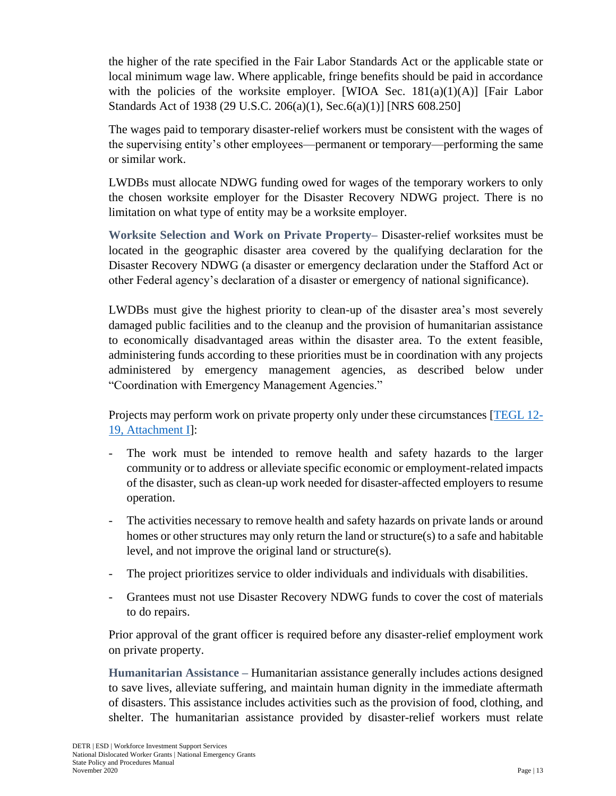the higher of the rate specified in the Fair Labor Standards Act or the applicable state or local minimum wage law. Where applicable, fringe benefits should be paid in accordance with the policies of the worksite employer. [WIOA Sec.  $181(a)(1)(A)$ ] [Fair Labor Standards Act of 1938 (29 U.S.C. 206(a)(1), Sec.6(a)(1)] [NRS 608.250]

The wages paid to temporary disaster-relief workers must be consistent with the wages of the supervising entity's other employees—permanent or temporary—performing the same or similar work.

LWDBs must allocate NDWG funding owed for wages of the temporary workers to only the chosen worksite employer for the Disaster Recovery NDWG project. There is no limitation on what type of entity may be a worksite employer.

**Worksite Selection and Work on Private Property–** Disaster-relief worksites must be located in the geographic disaster area covered by the qualifying declaration for the Disaster Recovery NDWG (a disaster or emergency declaration under the Stafford Act or other Federal agency's declaration of a disaster or emergency of national significance).

LWDBs must give the highest priority to clean-up of the disaster area's most severely damaged public facilities and to the cleanup and the provision of humanitarian assistance to economically disadvantaged areas within the disaster area. To the extent feasible, administering funds according to these priorities must be in coordination with any projects administered by emergency management agencies, as described below under "Coordination with Emergency Management Agencies."

Projects may perform work on private property only under these circumstances [\[TEGL 12-](https://wdr.doleta.gov/directives/attach/TEGL/TEGL_12-19_Attachment-1_Acc.pdf) [19, Attachment I\]](https://wdr.doleta.gov/directives/attach/TEGL/TEGL_12-19_Attachment-1_Acc.pdf):

- The work must be intended to remove health and safety hazards to the larger community or to address or alleviate specific economic or employment-related impacts of the disaster, such as clean-up work needed for disaster-affected employers to resume operation.
- The activities necessary to remove health and safety hazards on private lands or around homes or other structures may only return the land or structure(s) to a safe and habitable level, and not improve the original land or structure(s).
- The project prioritizes service to older individuals and individuals with disabilities.
- Grantees must not use Disaster Recovery NDWG funds to cover the cost of materials to do repairs.

Prior approval of the grant officer is required before any disaster-relief employment work on private property.

**Humanitarian Assistance –** Humanitarian assistance generally includes actions designed to save lives, alleviate suffering, and maintain human dignity in the immediate aftermath of disasters. This assistance includes activities such as the provision of food, clothing, and shelter. The humanitarian assistance provided by disaster-relief workers must relate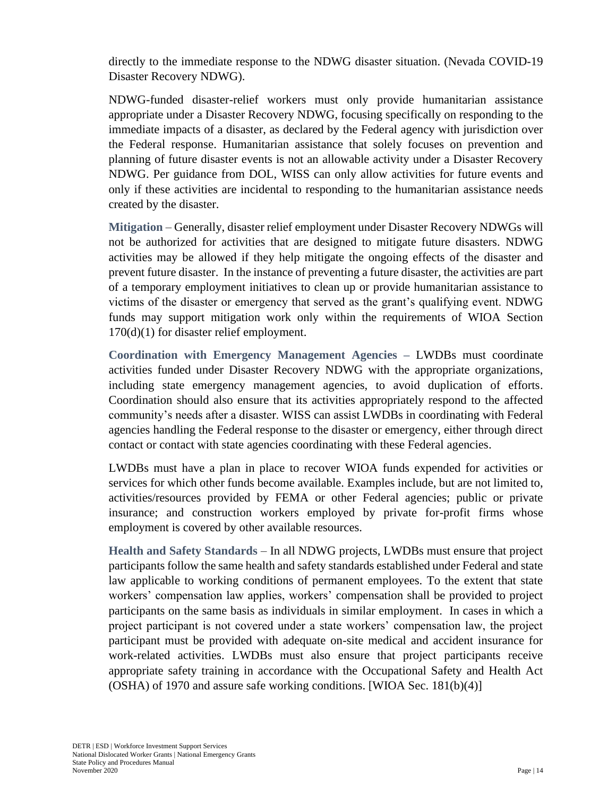directly to the immediate response to the NDWG disaster situation. (Nevada COVID-19 Disaster Recovery NDWG).

NDWG-funded disaster-relief workers must only provide humanitarian assistance appropriate under a Disaster Recovery NDWG, focusing specifically on responding to the immediate impacts of a disaster, as declared by the Federal agency with jurisdiction over the Federal response. Humanitarian assistance that solely focuses on prevention and planning of future disaster events is not an allowable activity under a Disaster Recovery NDWG. Per guidance from DOL, WISS can only allow activities for future events and only if these activities are incidental to responding to the humanitarian assistance needs created by the disaster.

**Mitigation** – Generally, disaster relief employment under Disaster Recovery NDWGs will not be authorized for activities that are designed to mitigate future disasters. NDWG activities may be allowed if they help mitigate the ongoing effects of the disaster and prevent future disaster. In the instance of preventing a future disaster, the activities are part of a temporary employment initiatives to clean up or provide humanitarian assistance to victims of the disaster or emergency that served as the grant's qualifying event. NDWG funds may support mitigation work only within the requirements of WIOA Section 170(d)(1) for disaster relief employment.

**Coordination with Emergency Management Agencies –** LWDBs must coordinate activities funded under Disaster Recovery NDWG with the appropriate organizations, including state emergency management agencies, to avoid duplication of efforts. Coordination should also ensure that its activities appropriately respond to the affected community's needs after a disaster. WISS can assist LWDBs in coordinating with Federal agencies handling the Federal response to the disaster or emergency, either through direct contact or contact with state agencies coordinating with these Federal agencies.

LWDBs must have a plan in place to recover WIOA funds expended for activities or services for which other funds become available. Examples include, but are not limited to, activities/resources provided by FEMA or other Federal agencies; public or private insurance; and construction workers employed by private for-profit firms whose employment is covered by other available resources.

**Health and Safety Standards** – In all NDWG projects, LWDBs must ensure that project participants follow the same health and safety standards established under Federal and state law applicable to working conditions of permanent employees. To the extent that state workers' compensation law applies, workers' compensation shall be provided to project participants on the same basis as individuals in similar employment. In cases in which a project participant is not covered under a state workers' compensation law, the project participant must be provided with adequate on-site medical and accident insurance for work-related activities. LWDBs must also ensure that project participants receive appropriate safety training in accordance with the Occupational Safety and Health Act (OSHA) of 1970 and assure safe working conditions. [WIOA Sec. 181(b)(4)]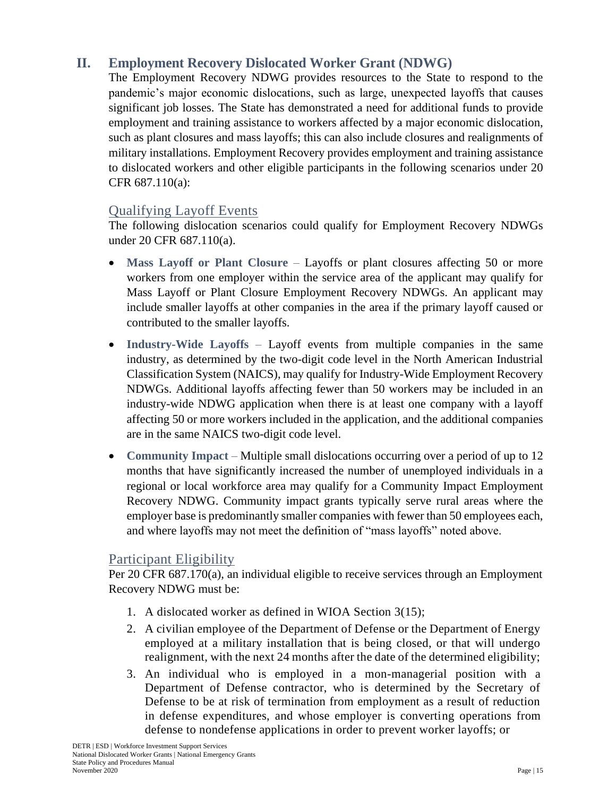# <span id="page-17-0"></span>**II. Employment Recovery Dislocated Worker Grant (NDWG)**

The Employment Recovery NDWG provides resources to the State to respond to the pandemic's major economic dislocations, such as large, unexpected layoffs that causes significant job losses. The State has demonstrated a need for additional funds to provide employment and training assistance to workers affected by a major economic dislocation, such as plant closures and mass layoffs; this can also include closures and realignments of military installations. Employment Recovery provides employment and training assistance to dislocated workers and other eligible participants in the following scenarios under 20 CFR 687.110(a):

# <span id="page-17-1"></span>Qualifying Layoff Events

The following dislocation scenarios could qualify for Employment Recovery NDWGs under 20 CFR 687.110(a).

- Mass Layoff or Plant Closure Layoffs or plant closures affecting 50 or more workers from one employer within the service area of the applicant may qualify for Mass Layoff or Plant Closure Employment Recovery NDWGs. An applicant may include smaller layoffs at other companies in the area if the primary layoff caused or contributed to the smaller layoffs.
- **Industry-Wide Layoffs** Layoff events from multiple companies in the same industry, as determined by the two-digit code level in the North American Industrial Classification System (NAICS), may qualify for Industry-Wide Employment Recovery NDWGs. Additional layoffs affecting fewer than 50 workers may be included in an industry-wide NDWG application when there is at least one company with a layoff affecting 50 or more workers included in the application, and the additional companies are in the same NAICS two-digit code level.
- **Community Impact** Multiple small dislocations occurring over a period of up to 12 months that have significantly increased the number of unemployed individuals in a regional or local workforce area may qualify for a Community Impact Employment Recovery NDWG. Community impact grants typically serve rural areas where the employer base is predominantly smaller companies with fewer than 50 employees each, and where layoffs may not meet the definition of "mass layoffs" noted above.

### <span id="page-17-2"></span>Participant Eligibility

Per 20 CFR 687.170(a), an individual eligible to receive services through an Employment Recovery NDWG must be:

- 1. A dislocated worker as defined in WIOA Section 3(15);
- 2. A civilian employee of the Department of Defense or the Department of Energy employed at a military installation that is being closed, or that will undergo realignment, with the next 24 months after the date of the determined eligibility;
- 3. An individual who is employed in a mon-managerial position with a Department of Defense contractor, who is determined by the Secretary of Defense to be at risk of termination from employment as a result of reduction in defense expenditures, and whose employer is converting operations from defense to nondefense applications in order to prevent worker layoffs; or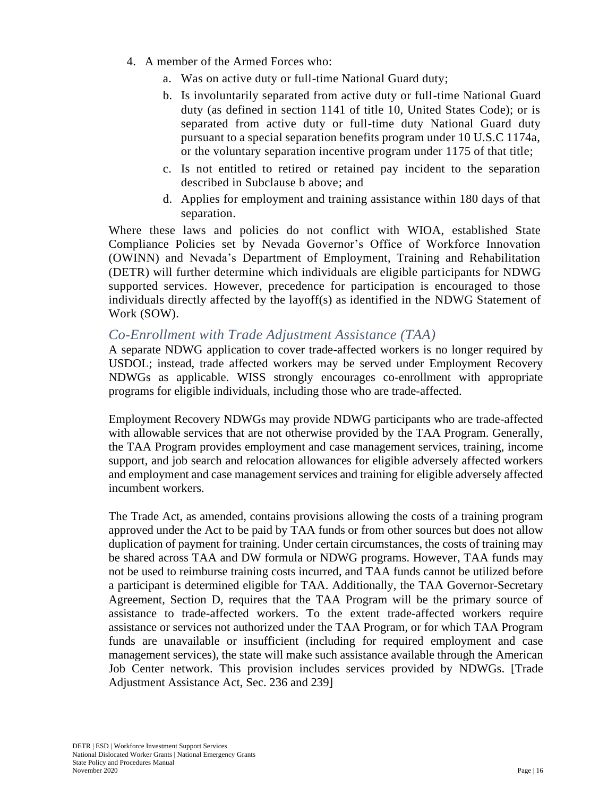- 4. A member of the Armed Forces who:
	- a. Was on active duty or full-time National Guard duty;
	- b. Is involuntarily separated from active duty or full-time National Guard duty (as defined in section 1141 of title 10, United States Code); or is separated from active duty or full-time duty National Guard duty pursuant to a special separation benefits program under 10 U.S.C 1174a, or the voluntary separation incentive program under 1175 of that title;
	- c. Is not entitled to retired or retained pay incident to the separation described in Subclause b above; and
	- d. Applies for employment and training assistance within 180 days of that separation.

Where these laws and policies do not conflict with WIOA, established State Compliance Policies set by Nevada Governor's Office of Workforce Innovation (OWINN) and Nevada's Department of Employment, Training and Rehabilitation (DETR) will further determine which individuals are eligible participants for NDWG supported services. However, precedence for participation is encouraged to those individuals directly affected by the layoff(s) as identified in the NDWG Statement of Work (SOW).

#### *Co-Enrollment with Trade Adjustment Assistance (TAA)*

A separate NDWG application to cover trade-affected workers is no longer required by USDOL; instead, trade affected workers may be served under Employment Recovery NDWGs as applicable. WISS strongly encourages co-enrollment with appropriate programs for eligible individuals, including those who are trade-affected.

Employment Recovery NDWGs may provide NDWG participants who are trade-affected with allowable services that are not otherwise provided by the TAA Program. Generally, the TAA Program provides employment and case management services, training, income support, and job search and relocation allowances for eligible adversely affected workers and employment and case management services and training for eligible adversely affected incumbent workers.

The Trade Act, as amended, contains provisions allowing the costs of a training program approved under the Act to be paid by TAA funds or from other sources but does not allow duplication of payment for training. Under certain circumstances, the costs of training may be shared across TAA and DW formula or NDWG programs. However, TAA funds may not be used to reimburse training costs incurred, and TAA funds cannot be utilized before a participant is determined eligible for TAA. Additionally, the TAA Governor-Secretary Agreement, Section D, requires that the TAA Program will be the primary source of assistance to trade-affected workers. To the extent trade-affected workers require assistance or services not authorized under the TAA Program, or for which TAA Program funds are unavailable or insufficient (including for required employment and case management services), the state will make such assistance available through the American Job Center network. This provision includes services provided by NDWGs. [Trade Adjustment Assistance Act, Sec. 236 and 239]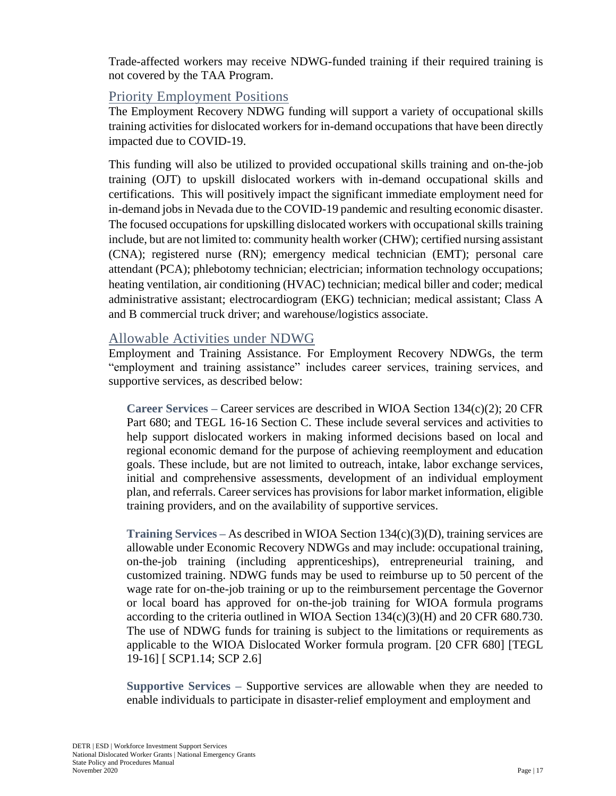Trade-affected workers may receive NDWG-funded training if their required training is not covered by the TAA Program.

#### <span id="page-19-0"></span>Priority Employment Positions

The Employment Recovery NDWG funding will support a variety of occupational skills training activities for dislocated workers for in-demand occupations that have been directly impacted due to COVID-19.

This funding will also be utilized to provided occupational skills training and on-the-job training (OJT) to upskill dislocated workers with in-demand occupational skills and certifications. This will positively impact the significant immediate employment need for in-demand jobs in Nevada due to the COVID-19 pandemic and resulting economic disaster. The focused occupations for upskilling dislocated workers with occupational skills training include, but are not limited to: community health worker (CHW); certified nursing assistant (CNA); registered nurse (RN); emergency medical technician (EMT); personal care attendant (PCA); phlebotomy technician; electrician; information technology occupations; heating ventilation, air conditioning (HVAC) technician; medical biller and coder; medical administrative assistant; electrocardiogram (EKG) technician; medical assistant; Class A and B commercial truck driver; and warehouse/logistics associate.

#### <span id="page-19-1"></span>Allowable Activities under NDWG

Employment and Training Assistance. For Employment Recovery NDWGs, the term "employment and training assistance" includes career services, training services, and supportive services, as described below:

**Career Services –** Career services are described in WIOA Section 134(c)(2); 20 CFR Part 680; and TEGL 16-16 Section C. These include several services and activities to help support dislocated workers in making informed decisions based on local and regional economic demand for the purpose of achieving reemployment and education goals. These include, but are not limited to outreach, intake, labor exchange services, initial and comprehensive assessments, development of an individual employment plan, and referrals. Career services has provisions for labor market information, eligible training providers, and on the availability of supportive services.

**Training Services –** As described in WIOA Section 134(c)(3)(D), training services are allowable under Economic Recovery NDWGs and may include: occupational training, on-the-job training (including apprenticeships), entrepreneurial training, and customized training. NDWG funds may be used to reimburse up to 50 percent of the wage rate for on-the-job training or up to the reimbursement percentage the Governor or local board has approved for on-the-job training for WIOA formula programs according to the criteria outlined in WIOA Section  $134(c)(3)(H)$  and 20 CFR 680.730. The use of NDWG funds for training is subject to the limitations or requirements as applicable to the WIOA Dislocated Worker formula program. [20 CFR 680] [TEGL 19-16] [ SCP1.14; SCP 2.6]

**Supportive Services –** Supportive services are allowable when they are needed to enable individuals to participate in disaster-relief employment and employment and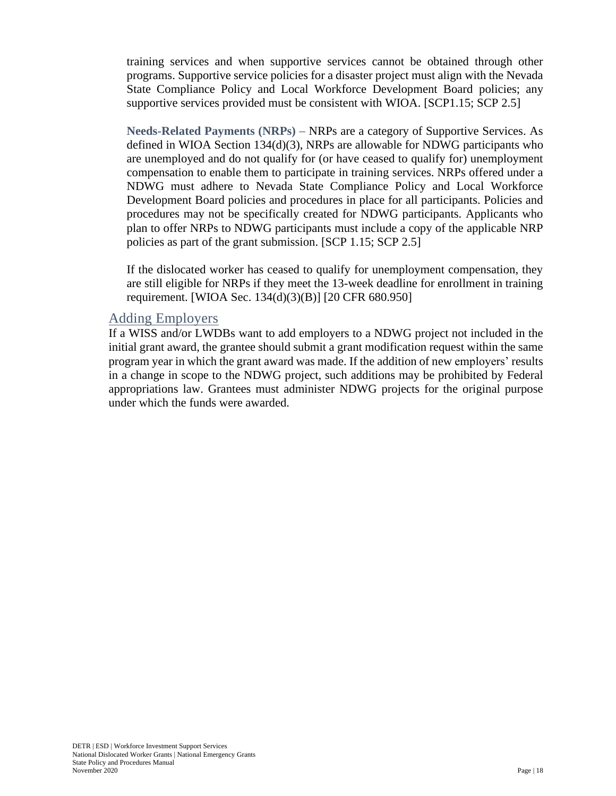training services and when supportive services cannot be obtained through other programs. Supportive service policies for a disaster project must align with the Nevada State Compliance Policy and Local Workforce Development Board policies; any supportive services provided must be consistent with WIOA. [SCP1.15; SCP 2.5]

**Needs-Related Payments (NRPs)** – NRPs are a category of Supportive Services. As defined in WIOA Section 134(d)(3), NRPs are allowable for NDWG participants who are unemployed and do not qualify for (or have ceased to qualify for) unemployment compensation to enable them to participate in training services. NRPs offered under a NDWG must adhere to Nevada State Compliance Policy and Local Workforce Development Board policies and procedures in place for all participants. Policies and procedures may not be specifically created for NDWG participants. Applicants who plan to offer NRPs to NDWG participants must include a copy of the applicable NRP policies as part of the grant submission. [SCP 1.15; SCP 2.5]

If the dislocated worker has ceased to qualify for unemployment compensation, they are still eligible for NRPs if they meet the 13-week deadline for enrollment in training requirement. [WIOA Sec. 134(d)(3)(B)] [20 CFR 680.950]

#### <span id="page-20-0"></span>Adding Employers

If a WISS and/or LWDBs want to add employers to a NDWG project not included in the initial grant award, the grantee should submit a grant modification request within the same program year in which the grant award was made. If the addition of new employers' results in a change in scope to the NDWG project, such additions may be prohibited by Federal appropriations law. Grantees must administer NDWG projects for the original purpose under which the funds were awarded.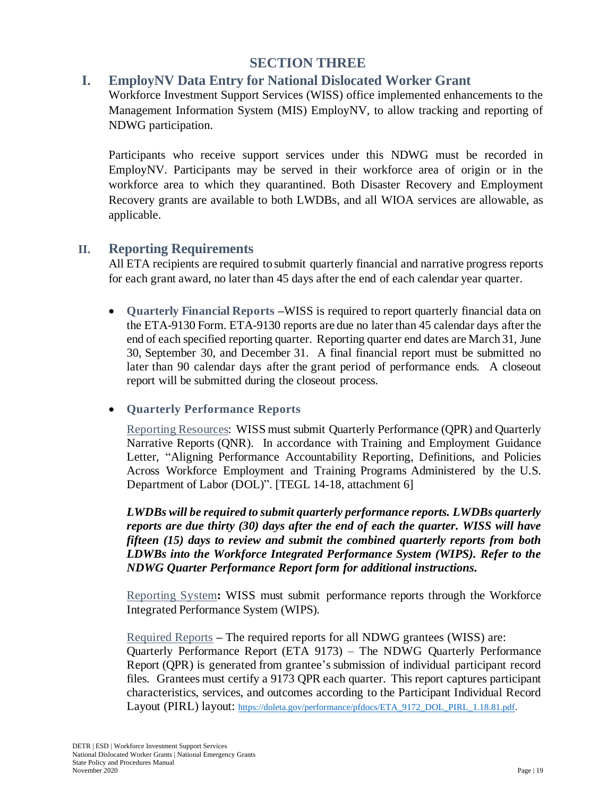# **SECTION THREE**

### <span id="page-21-1"></span><span id="page-21-0"></span>**I. EmployNV Data Entry for National Dislocated Worker Grant**

Workforce Investment Support Services (WISS) office implemented enhancements to the Management Information System (MIS) EmployNV, to allow tracking and reporting of NDWG participation.

Participants who receive support services under this NDWG must be recorded in EmployNV. Participants may be served in their workforce area of origin or in the workforce area to which they quarantined. Both Disaster Recovery and Employment Recovery grants are available to both LWDBs, and all WIOA services are allowable, as applicable.

#### <span id="page-21-2"></span>**II. Reporting Requirements**

All ETA recipients are required to submit quarterly financial and narrative progress reports for each grant award, no later than 45 days after the end of each calendar year quarter.

• **Quarterly Financial Reports –**WISS is required to report quarterly financial data on the ETA-9130 Form. ETA-9130 reports are due no later than 45 calendar days after the end of each specified reporting quarter. Reporting quarter end dates are March 31, June 30, September 30, and December 31. A final financial report must be submitted no later than 90 calendar days after the grant period of performance ends. A closeout report will be submitted during the closeout process.

#### • **Quarterly Performance Reports**

Reporting Resources: WISS must submit Quarterly Performance (QPR) and Quarterly Narrative Reports (QNR). In accordance with Training and Employment Guidance Letter, "Aligning Performance Accountability Reporting, Definitions, and Policies Across Workforce Employment and Training Programs Administered by the U.S. Department of Labor (DOL)". [TEGL 14-18, attachment 6]

*LWDBs will be required to submit quarterly performance reports. LWDBs quarterly reports are due thirty (30) days after the end of each the quarter. WISS will have fifteen (15) days to review and submit the combined quarterly reports from both LDWBs into the Workforce Integrated Performance System (WIPS). Refer to the NDWG Quarter Performance Report form for additional instructions.*

Reporting System**:** WISS must submit performance reports through the Workforce Integrated Performance System (WIPS).

Required Reports **–** The required reports for all NDWG grantees (WISS) are: Quarterly Performance Report (ETA 9173) – The NDWG Quarterly Performance Report (QPR) is generated from grantee's submission of individual participant record files. Grantees must certify a 9173 QPR each quarter. This report captures participant characteristics, services, and outcomes according to the Participant Individual Record Layout (PIRL) layout: [https://doleta.gov/performance/pfdocs/ETA\\_9172\\_DOL\\_PIRL\\_1.18.81.pdf.](https://doleta.gov/performance/pfdocs/ETA_9172_DOL_PIRL_1.18.81.pdf)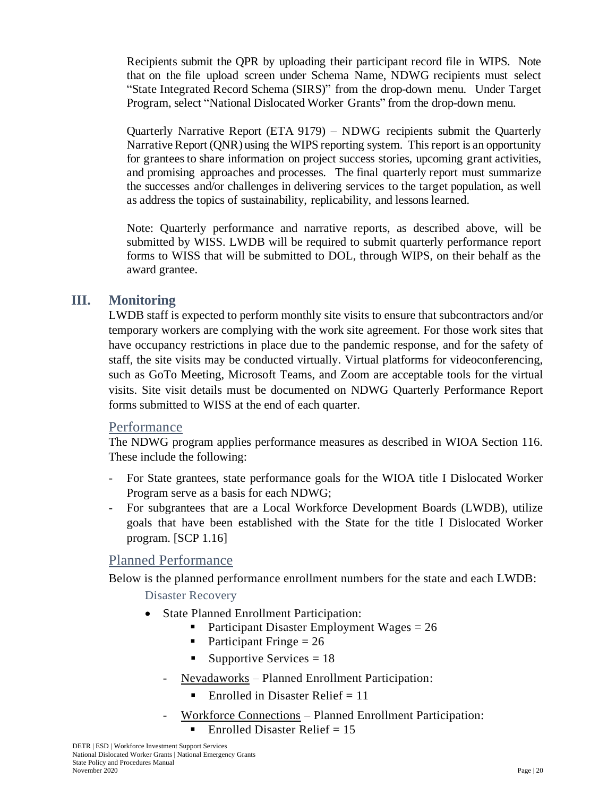Recipients submit the QPR by uploading their participant record file in WIPS. Note that on the file upload screen under Schema Name, NDWG recipients must select "State Integrated Record Schema (SIRS)" from the drop-down menu. Under Target Program, select "National Dislocated Worker Grants" from the drop-down menu.

Quarterly Narrative Report (ETA 9179) – NDWG recipients submit the Quarterly Narrative Report (ONR) using the WIPS reporting system. This report is an opportunity for grantees to share information on project success stories, upcoming grant activities, and promising approaches and processes. The final quarterly report must summarize the successes and/or challenges in delivering services to the target population, as well as address the topics of sustainability, replicability, and lessons learned.

Note: Quarterly performance and narrative reports, as described above, will be submitted by WISS. LWDB will be required to submit quarterly performance report forms to WISS that will be submitted to DOL, through WIPS, on their behalf as the award grantee.

### <span id="page-22-0"></span>**III. Monitoring**

LWDB staff is expected to perform monthly site visits to ensure that subcontractors and/or temporary workers are complying with the work site agreement. For those work sites that have occupancy restrictions in place due to the pandemic response, and for the safety of staff, the site visits may be conducted virtually. Virtual platforms for videoconferencing, such as GoTo Meeting, Microsoft Teams, and Zoom are acceptable tools for the virtual visits. Site visit details must be documented on NDWG Quarterly Performance Report forms submitted to WISS at the end of each quarter.

#### <span id="page-22-1"></span>Performance

The NDWG program applies performance measures as described in WIOA Section 116. These include the following:

- For State grantees, state performance goals for the WIOA title I Dislocated Worker Program serve as a basis for each NDWG;
- For subgrantees that are a Local Workforce Development Boards (LWDB), utilize goals that have been established with the State for the title I Dislocated Worker program. [SCP 1.16]

# <span id="page-22-2"></span>Planned Performance

Below is the planned performance enrollment numbers for the state and each LWDB:

Disaster Recovery

- State Planned Enrollment Participation:
	- **•** Participant Disaster Employment Wages  $= 26$
	- Participant Fringe  $= 26$
	- Supportive Services  $= 18$
	- Nevadaworks Planned Enrollment Participation:
		- **•** Enrolled in Disaster Relief  $= 11$
	- Workforce Connections Planned Enrollment Participation:  $\blacksquare$  Enrolled Disaster Relief = 15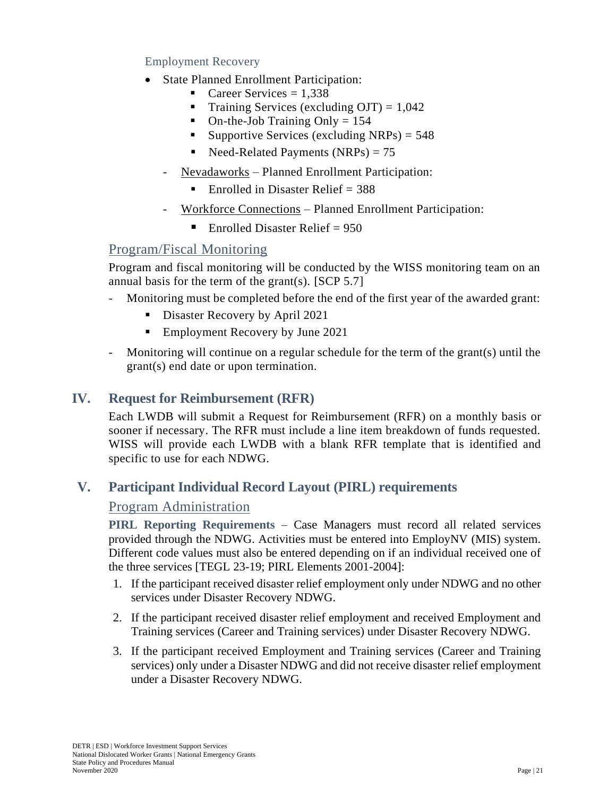#### Employment Recovery

- State Planned Enrollment Participation:
	- $\blacksquare$  Career Services = 1,338
	- **•** Training Services (excluding OJT) =  $1,042$
	- On-the-Job Training Only  $= 154$
	- **•** Supportive Services (excluding NRPs) =  $548$
	- $\blacksquare$  Need-Related Payments (NRPs) = 75
	- Nevadaworks Planned Enrollment Participation:
		- **•** Enrolled in Disaster Relief  $= 388$
	- Workforce Connections Planned Enrollment Participation:
		- **Enrolled Disaster Relief** =  $950$

# <span id="page-23-0"></span>Program/Fiscal Monitoring

Program and fiscal monitoring will be conducted by the WISS monitoring team on an annual basis for the term of the grant(s). [SCP 5.7]

- Monitoring must be completed before the end of the first year of the awarded grant:
	- **•** Disaster Recovery by April 2021
	- Employment Recovery by June 2021
- Monitoring will continue on a regular schedule for the term of the grant(s) until the grant(s) end date or upon termination.

## <span id="page-23-1"></span>**IV. Request for Reimbursement (RFR)**

Each LWDB will submit a Request for Reimbursement (RFR) on a monthly basis or sooner if necessary. The RFR must include a line item breakdown of funds requested. WISS will provide each LWDB with a blank RFR template that is identified and specific to use for each NDWG.

# <span id="page-23-3"></span><span id="page-23-2"></span>**V. Participant Individual Record Layout (PIRL) requirements**

### Program Administration

**PIRL Reporting Requirements** – Case Managers must record all related services provided through the NDWG. Activities must be entered into EmployNV (MIS) system. Different code values must also be entered depending on if an individual received one of the three services [TEGL 23-19; PIRL Elements 2001-2004]:

- 1. If the participant received disaster relief employment only under NDWG and no other services under Disaster Recovery NDWG.
- 2. If the participant received disaster relief employment and received Employment and Training services (Career and Training services) under Disaster Recovery NDWG.
- 3. If the participant received Employment and Training services (Career and Training services) only under a Disaster NDWG and did not receive disaster relief employment under a Disaster Recovery NDWG.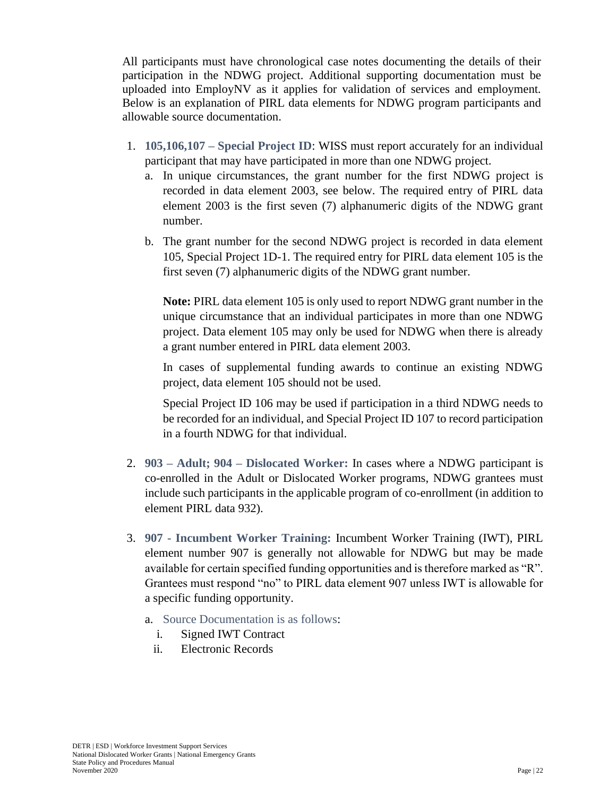All participants must have chronological case notes documenting the details of their participation in the NDWG project. Additional supporting documentation must be uploaded into EmployNV as it applies for validation of services and employment. Below is an explanation of PIRL data elements for NDWG program participants and allowable source documentation.

- 1. **105,106,107 – Special Project ID**: WISS must report accurately for an individual participant that may have participated in more than one NDWG project.
	- a. In unique circumstances, the grant number for the first NDWG project is recorded in data element 2003, see below. The required entry of PIRL data element 2003 is the first seven (7) alphanumeric digits of the NDWG grant number.
	- b. The grant number for the second NDWG project is recorded in data element 105, Special Project 1D-1. The required entry for PIRL data element 105 is the first seven (7) alphanumeric digits of the NDWG grant number.

**Note:** PIRL data element 105 is only used to report NDWG grant number in the unique circumstance that an individual participates in more than one NDWG project. Data element 105 may only be used for NDWG when there is already a grant number entered in PIRL data element 2003.

In cases of supplemental funding awards to continue an existing NDWG project, data element 105 should not be used.

Special Project ID 106 may be used if participation in a third NDWG needs to be recorded for an individual, and Special Project ID 107 to record participation in a fourth NDWG for that individual.

- 2. **903 – Adult; 904 – Dislocated Worker:** In cases where a NDWG participant is co-enrolled in the Adult or Dislocated Worker programs, NDWG grantees must include such participants in the applicable program of co-enrollment (in addition to element PIRL data 932).
- 3. **907 - Incumbent Worker Training:** Incumbent Worker Training (IWT), PIRL element number 907 is generally not allowable for NDWG but may be made available for certain specified funding opportunities and is therefore marked as "R". Grantees must respond "no" to PIRL data element 907 unless IWT is allowable for a specific funding opportunity.
	- a. Source Documentation is as follows:
		- i. Signed IWT Contract
		- ii. Electronic Records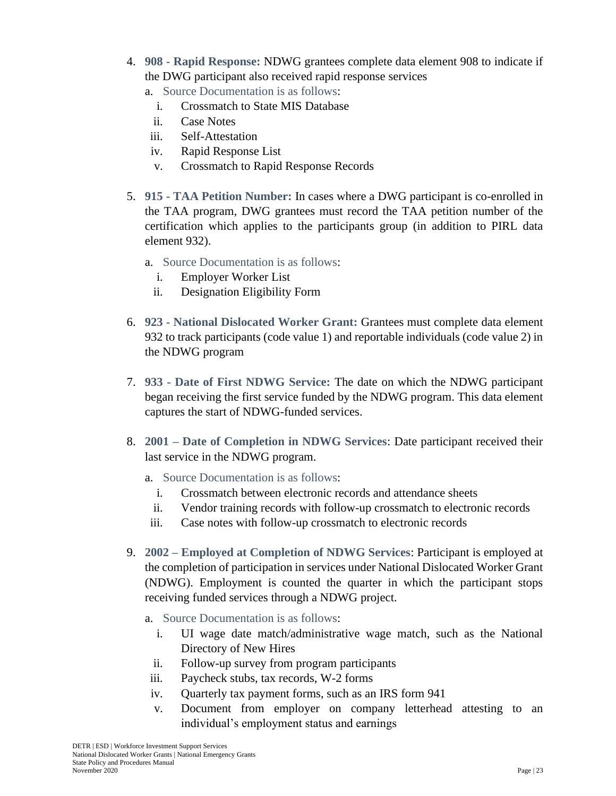- 4. **908 - Rapid Response:** NDWG grantees complete data element 908 to indicate if the DWG participant also received rapid response services
	- a. Source Documentation is as follows:
		- i. Crossmatch to State MIS Database
		- ii. Case Notes
	- iii. Self-Attestation
	- iv. Rapid Response List
	- v. Crossmatch to Rapid Response Records
- 5. **915 - TAA Petition Number:** In cases where a DWG participant is co-enrolled in the TAA program, DWG grantees must record the TAA petition number of the certification which applies to the participants group (in addition to PIRL data element 932).
	- a. Source Documentation is as follows:
		- i. Employer Worker List
		- ii. Designation Eligibility Form
- 6. **923 - National Dislocated Worker Grant:** Grantees must complete data element 932 to track participants (code value 1) and reportable individuals (code value 2) in the NDWG program
- 7. **933 - Date of First NDWG Service:** The date on which the NDWG participant began receiving the first service funded by the NDWG program. This data element captures the start of NDWG-funded services.
- 8. **2001 – Date of Completion in NDWG Services**: Date participant received their last service in the NDWG program.
	- a. Source Documentation is as follows:
		- i. Crossmatch between electronic records and attendance sheets
		- ii. Vendor training records with follow-up crossmatch to electronic records
	- iii. Case notes with follow-up crossmatch to electronic records
- 9. **2002 – Employed at Completion of NDWG Services**: Participant is employed at the completion of participation in services under National Dislocated Worker Grant (NDWG). Employment is counted the quarter in which the participant stops receiving funded services through a NDWG project.
	- a. Source Documentation is as follows:
		- i. UI wage date match/administrative wage match, such as the National Directory of New Hires
		- ii. Follow-up survey from program participants
	- iii. Paycheck stubs, tax records, W-2 forms
	- iv. Quarterly tax payment forms, such as an IRS form 941
	- v. Document from employer on company letterhead attesting to an individual's employment status and earnings